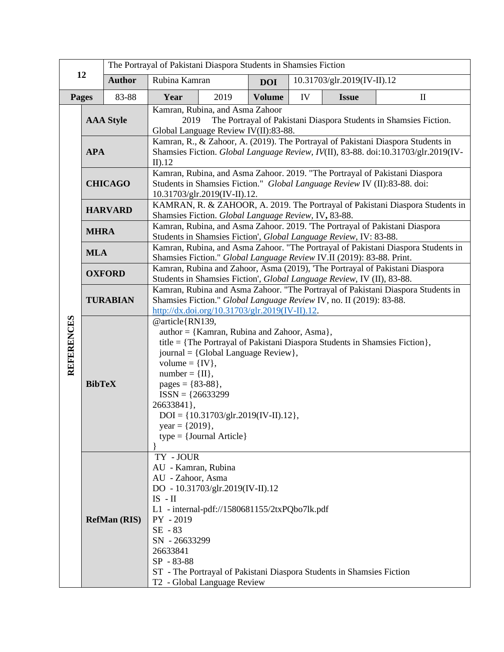| 12                |                                                | The Portrayal of Pakistani Diaspora Students in Shamsies Fiction |                                                                                                                                                                                                                                                                                                                                                                                               |                                                                                                                  |               |    |                                                                       |                             |  |
|-------------------|------------------------------------------------|------------------------------------------------------------------|-----------------------------------------------------------------------------------------------------------------------------------------------------------------------------------------------------------------------------------------------------------------------------------------------------------------------------------------------------------------------------------------------|------------------------------------------------------------------------------------------------------------------|---------------|----|-----------------------------------------------------------------------|-----------------------------|--|
|                   |                                                | <b>Author</b>                                                    | Rubina Kamran                                                                                                                                                                                                                                                                                                                                                                                 |                                                                                                                  | <b>DOI</b>    |    |                                                                       | 10.31703/glr.2019(IV-II).12 |  |
| Pages             |                                                | 83-88                                                            | Year                                                                                                                                                                                                                                                                                                                                                                                          | 2019                                                                                                             | <b>Volume</b> | IV | <b>Issue</b>                                                          | $\mathbf{I}$                |  |
|                   | <b>AAA Style</b>                               |                                                                  | Kamran, Rubina, and Asma Zahoor<br>2019<br>The Portrayal of Pakistani Diaspora Students in Shamsies Fiction.<br>Global Language Review IV(II):83-88.                                                                                                                                                                                                                                          |                                                                                                                  |               |    |                                                                       |                             |  |
|                   | <b>APA</b>                                     |                                                                  | Kamran, R., & Zahoor, A. (2019). The Portrayal of Pakistani Diaspora Students in<br>Shamsies Fiction. Global Language Review, IV(II), 83-88. doi:10.31703/glr.2019(IV-<br>$II$ ).12                                                                                                                                                                                                           |                                                                                                                  |               |    |                                                                       |                             |  |
|                   | <b>CHICAGO</b>                                 |                                                                  | Kamran, Rubina, and Asma Zahoor. 2019. "The Portrayal of Pakistani Diaspora<br>Students in Shamsies Fiction." Global Language Review IV (II):83-88. doi:<br>10.31703/glr.2019(IV-II).12.                                                                                                                                                                                                      |                                                                                                                  |               |    |                                                                       |                             |  |
| <b>REFERENCES</b> | <b>HARVARD</b>                                 |                                                                  | KAMRAN, R. & ZAHOOR, A. 2019. The Portrayal of Pakistani Diaspora Students in<br>Shamsies Fiction. Global Language Review, IV, 83-88.                                                                                                                                                                                                                                                         |                                                                                                                  |               |    |                                                                       |                             |  |
|                   | <b>MHRA</b>                                    |                                                                  | Kamran, Rubina, and Asma Zahoor. 2019. 'The Portrayal of Pakistani Diaspora<br>Students in Shamsies Fiction', Global Language Review, IV: 83-88.                                                                                                                                                                                                                                              |                                                                                                                  |               |    |                                                                       |                             |  |
|                   | <b>MLA</b><br><b>OXFORD</b><br><b>TURABIAN</b> |                                                                  | Kamran, Rubina, and Asma Zahoor. "The Portrayal of Pakistani Diaspora Students in<br>Shamsies Fiction." Global Language Review IV.II (2019): 83-88. Print.                                                                                                                                                                                                                                    |                                                                                                                  |               |    |                                                                       |                             |  |
|                   |                                                |                                                                  | Kamran, Rubina and Zahoor, Asma (2019), 'The Portrayal of Pakistani Diaspora<br>Students in Shamsies Fiction', Global Language Review, IV (II), 83-88.                                                                                                                                                                                                                                        |                                                                                                                  |               |    |                                                                       |                             |  |
|                   |                                                |                                                                  | Kamran, Rubina and Asma Zahoor. "The Portrayal of Pakistani Diaspora Students in<br>Shamsies Fiction." Global Language Review IV, no. II (2019): 83-88.<br>http://dx.doi.org/10.31703/glr.2019(IV-II).12.                                                                                                                                                                                     |                                                                                                                  |               |    |                                                                       |                             |  |
|                   | <b>BibTeX</b>                                  |                                                                  | @article{RN139,<br>author = {Kamran, Rubina and Zahoor, Asma},<br>title = {The Portrayal of Pakistani Diaspora Students in Shamsies Fiction},<br>journal = {Global Language Review},<br>volume = $\{IV\},\$<br>$number = \{II\},\$<br>pages = ${83-88}$ ,<br>$ISSN = {26633299}$<br>26633841},<br>$DOI = \{10.31703/glr.2019(IV-II).12\},\$<br>$year = {2019},$<br>$type = {Journal Article}$ |                                                                                                                  |               |    |                                                                       |                             |  |
|                   |                                                | <b>RefMan (RIS)</b>                                              | TY-JOUR<br>AU - Kamran, Rubina<br>AU - Zahoor, Asma<br>$IS$ - $II$<br>PY - 2019<br>SE - 83<br>SN - 26633299<br>26633841<br>SP - 83-88                                                                                                                                                                                                                                                         | DO - 10.31703/glr.2019(IV-II).12<br>L1 - internal-pdf://1580681155/2txPQbo7lk.pdf<br>T2 - Global Language Review |               |    | ST - The Portrayal of Pakistani Diaspora Students in Shamsies Fiction |                             |  |